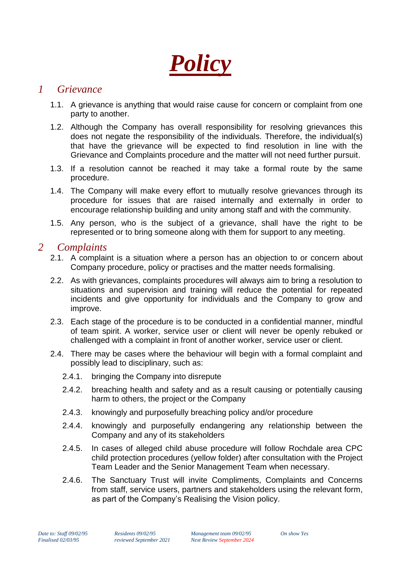*Policy*

## *1 Grievance*

- 1.1. A grievance is anything that would raise cause for concern or complaint from one party to another.
- 1.2. Although the Company has overall responsibility for resolving grievances this does not negate the responsibility of the individuals. Therefore, the individual(s) that have the grievance will be expected to find resolution in line with the Grievance and Complaints procedure and the matter will not need further pursuit.
- 1.3. If a resolution cannot be reached it may take a formal route by the same procedure.
- 1.4. The Company will make every effort to mutually resolve grievances through its procedure for issues that are raised internally and externally in order to encourage relationship building and unity among staff and with the community.
- 1.5. Any person, who is the subject of a grievance, shall have the right to be represented or to bring someone along with them for support to any meeting.

## *2 Complaints*

- 2.1. A complaint is a situation where a person has an objection to or concern about Company procedure, policy or practises and the matter needs formalising.
- 2.2. As with grievances, complaints procedures will always aim to bring a resolution to situations and supervision and training will reduce the potential for repeated incidents and give opportunity for individuals and the Company to grow and improve.
- 2.3. Each stage of the procedure is to be conducted in a confidential manner, mindful of team spirit. A worker, service user or client will never be openly rebuked or challenged with a complaint in front of another worker, service user or client.
- 2.4. There may be cases where the behaviour will begin with a formal complaint and possibly lead to disciplinary, such as:
	- 2.4.1. bringing the Company into disrepute
	- 2.4.2. breaching health and safety and as a result causing or potentially causing harm to others, the project or the Company
	- 2.4.3. knowingly and purposefully breaching policy and/or procedure
	- 2.4.4. knowingly and purposefully endangering any relationship between the Company and any of its stakeholders
	- 2.4.5. In cases of alleged child abuse procedure will follow Rochdale area CPC child protection procedures (yellow folder) after consultation with the Project Team Leader and the Senior Management Team when necessary.
	- 2.4.6. The Sanctuary Trust will invite Compliments, Complaints and Concerns from staff, service users, partners and stakeholders using the relevant form, as part of the Company's Realising the Vision policy.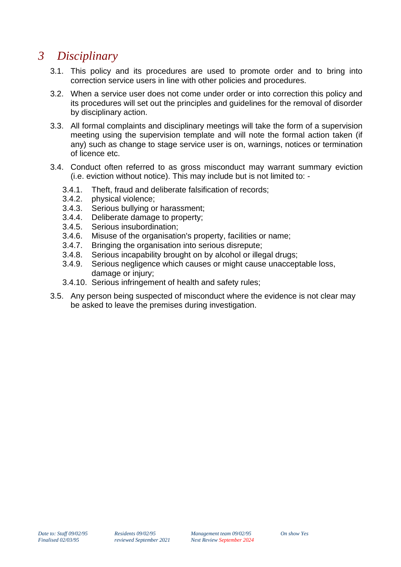# *3 Disciplinary*

- 3.1. This policy and its procedures are used to promote order and to bring into correction service users in line with other policies and procedures.
- 3.2. When a service user does not come under order or into correction this policy and its procedures will set out the principles and guidelines for the removal of disorder by disciplinary action.
- 3.3. All formal complaints and disciplinary meetings will take the form of a supervision meeting using the supervision template and will note the formal action taken (if any) such as change to stage service user is on, warnings, notices or termination of licence etc.
- 3.4. Conduct often referred to as gross misconduct may warrant summary eviction (i.e. eviction without notice). This may include but is not limited to: -
	- 3.4.1. Theft, fraud and deliberate falsification of records;
	- 3.4.2. physical violence;<br>3.4.3. Serious bullying of
	- Serious bullying or harassment;
	- 3.4.4. Deliberate damage to property;
	- 3.4.5. Serious insubordination;
	- 3.4.6. Misuse of the organisation's property, facilities or name;
	- 3.4.7. Bringing the organisation into serious disrepute;
	- 3.4.8. Serious incapability brought on by alcohol or illegal drugs;
	- 3.4.9. Serious negligence which causes or might cause unacceptable loss, damage or injury;
	- 3.4.10. Serious infringement of health and safety rules;
- 3.5. Any person being suspected of misconduct where the evidence is not clear may be asked to leave the premises during investigation.